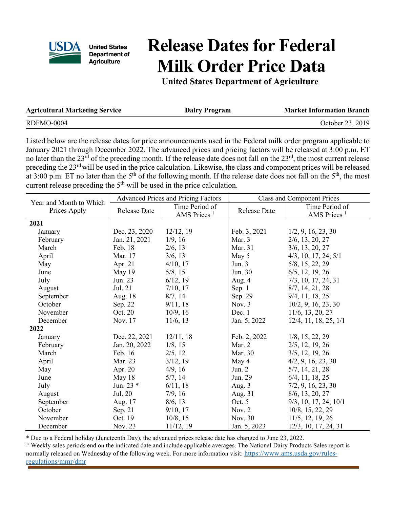

**United States** Department of **Agriculture** 

## **Release Dates for Federal Milk Order Price Data**

**United States Department of Agriculture**

| <b>Agricultural Marketing Service</b> | <b>Dairy Program</b> | <b>Market Information Branch</b> |
|---------------------------------------|----------------------|----------------------------------|
| RDFMO-0004                            |                      | October 23, 2019                 |

Listed below are the release dates for price announcements used in the Federal milk order program applicable to January 2021 through December 2022. The advanced prices and pricing factors will be released at 3:00 p.m. ET no later than the  $23^{rd}$  of the preceding month. If the release date does not fall on the  $23^{rd}$ , the most current release preceding the 23<sup>rd</sup> will be used in the price calculation. Likewise, the class and component prices will be released at 3:00 p.m. ET no later than the 5<sup>th</sup> of the following month. If the release date does not fall on the 5<sup>th</sup>, the most current release preceding the  $5<sup>th</sup>$  will be used in the price calculation.

|                                         | <b>Advanced Prices and Pricing Factors</b> |                         | <b>Class and Component Prices</b> |                             |
|-----------------------------------------|--------------------------------------------|-------------------------|-----------------------------------|-----------------------------|
| Year and Month to Which<br>Prices Apply | <b>Release Date</b>                        | Time Period of          | <b>Release Date</b>               | Time Period of              |
|                                         |                                            | AMS Prices <sup>1</sup> |                                   | AMS Prices <sup>1</sup>     |
| 2021                                    |                                            |                         |                                   |                             |
| January                                 | Dec. 23, 2020                              | 12/12, 19               | Feb. 3, 2021                      | 1/2, 9, 16, 23, 30          |
| February                                | Jan. 21, 2021                              | 1/9, 16                 | Mar. 3                            | $2/6$ , 13, 20, 27          |
| March                                   | Feb. 18                                    | $2/6$ , 13              | Mar. 31                           | $3/6$ , 13, 20, 27          |
| April                                   | Mar. 17                                    | 3/6, 13                 | May 5                             | $4/3$ , 10, 17, 24, 5/1     |
| May                                     | Apr. 21                                    | 4/10, 17                | Jun. $3$                          | 5/8, 15, 22, 29             |
| June                                    | May 19                                     | 5/8, 15                 | Jun. 30                           | $6/5$ , 12, 19, 26          |
| July                                    | Jun. 23                                    | 6/12, 19                | Aug. 4                            | $7/3$ , 10, 17, 24, 31      |
| August                                  | Jul. 21                                    | 7/10, 17                | Sep. 1                            | 8/7, 14, 21, 28             |
| September                               | Aug. 18                                    | 8/7, 14                 | Sep. 29                           | 9/4, 11, 18, 25             |
| October                                 | Sep. 22                                    | 9/11, 18                | Nov. 3                            | 10/2, 9, 16, 23, 30         |
| November                                | Oct. 20                                    | 10/9, 16                | Dec. 1                            | $11/6$ , $13$ , $20$ , $27$ |
| December                                | Nov. 17                                    | 11/6, 13                | Jan. 5, 2022                      | 12/4, 11, 18, 25, 1/1       |
| 2022                                    |                                            |                         |                                   |                             |
| January                                 | Dec. 22, 2021                              | 12/11, 18               | Feb. 2, 2022                      | $1/8$ , 15, 22, 29          |
| February                                | Jan. 20, 2022                              | $1/8$ , 15              | Mar. 2                            | $2/5$ , 12, 19, 26          |
| March                                   | Feb. 16                                    | 2/5, 12                 | Mar. 30                           | $3/5$ , 12, 19, 26          |
| April                                   | Mar. 23                                    | 3/12, 19                | May 4                             | 4/2, 9, 16, 23, 30          |
| May                                     | Apr. 20                                    | 4/9, 16                 | Jun. $2$                          | 5/7, 14, 21, 28             |
| June                                    | May 18                                     | 5/7, 14                 | Jun. 29                           | $6/4$ , 11, 18, 25          |
| July                                    | Jun. 23 *                                  | 6/11, 18                | Aug. 3                            | 7/2, 9, 16, 23, 30          |
| August                                  | Jul. 20                                    | 7/9, 16                 | Aug. 31                           | 8/6, 13, 20, 27             |
| September                               | Aug. 17                                    | 8/6, 13                 | Oct. 5                            | $9/3$ , 10, 17, 24, 10/1    |
| October                                 | Sep. 21                                    | 9/10, 17                | Nov. $2$                          | 10/8, 15, 22, 29            |
| November                                | Oct. 19                                    | 10/8, 15                | Nov. 30                           | $11/5$ , 12, 19, 26         |
| December                                | Nov. 23                                    | 11/12, 19               | Jan. 5, 2023                      | 12/3, 10, 17, 24, 31        |

\* Due to a Federal holiday (Juneteenth Day), the advanced prices release date has changed to June 23, 2022.<br><sup>1/</sup> Weekly sales periods end on the indicated date and include applicable averages. The National Dairy Products

normally released on Wednesday of the following week. For more information visit[: https://www.ams.usda.gov/rules](https://gcc02.safelinks.protection.outlook.com/?url=https%3A%2F%2Fwww.ams.usda.gov%2Frules-regulations%2Fmmr%2Fdmr&data=04%7C01%7C%7Cae88f2ee29124c2041e508d93c99d25f%7Ced5b36e701ee4ebc867ee03cfa0d4697%7C0%7C0%7C637607453626773881%7CUnknown%7CTWFpbGZsb3d8eyJWIjoiMC4wLjAwMDAiLCJQIjoiV2luMzIiLCJBTiI6Ik1haWwiLCJXVCI6Mn0%3D%7C1000&sdata=GjJMaulhJYYmffwNMjKakogkuOFF0hyU%2FDWVSErzQ3M%3D&reserved=0)[regulations/mmr/dmr](https://gcc02.safelinks.protection.outlook.com/?url=https%3A%2F%2Fwww.ams.usda.gov%2Frules-regulations%2Fmmr%2Fdmr&data=04%7C01%7C%7Cae88f2ee29124c2041e508d93c99d25f%7Ced5b36e701ee4ebc867ee03cfa0d4697%7C0%7C0%7C637607453626773881%7CUnknown%7CTWFpbGZsb3d8eyJWIjoiMC4wLjAwMDAiLCJQIjoiV2luMzIiLCJBTiI6Ik1haWwiLCJXVCI6Mn0%3D%7C1000&sdata=GjJMaulhJYYmffwNMjKakogkuOFF0hyU%2FDWVSErzQ3M%3D&reserved=0)